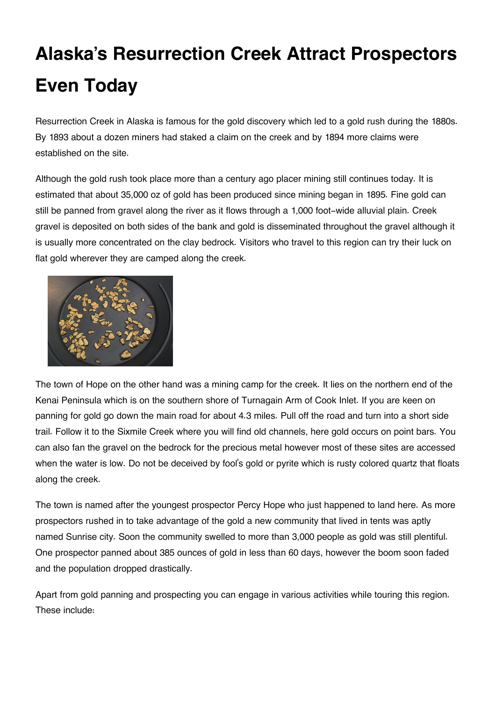# **Alaska's Resurrection Creek Attract Prospectors Even Today**

Resurrection Creek in Alaska is famous for the gold discovery which led to a gold rush during the 1880s. By 1893 about a dozen miners had staked a claim on the creek and by 1894 more claims were established on the site.

Although the gold rush took place more than a century ago placer mining still continues today. It is estimated that about 35,000 oz of gold has been produced since mining began in 1895. Fine gold can still be panned from gravel along the river as it flows through a 1,000 foot-wide alluvial plain. Creek gravel is deposited on both sides of the bank and gold is disseminated throughout the gravel although it is usually more concentrated on the clay bedrock. Visitors who travel to this region can try their luck on flat gold wherever they are camped along the creek.



The town of Hope on the other hand was a mining camp for the creek. It lies on the northern end of the Kenai Peninsula which is on the southern shore of Turnagain Arm of Cook Inlet. If you are keen on panning for gold go down the main road for about 4.3 miles. Pull off the road and turn into a short side trail. Follow it to the Sixmile Creek where you will find old channels, here gold occurs on point bars. You can also fan the gravel on the bedrock for the precious metal however most of these sites are accessed when the water is low. Do not be deceived by fool's gold or pyrite which is rusty colored quartz that floats along the creek.

The town is named after the youngest prospector Percy Hope who just happened to land here. As more prospectors rushed in to take advantage of the gold a new community that lived in tents was aptly named Sunrise city. Soon the community swelled to more than 3,000 people as gold was still plentiful. One prospector panned about 385 ounces of gold in less than 60 days, however the boom soon faded and the population dropped drastically.

Apart from gold panning and prospecting you can engage in various activities while touring this region. These include: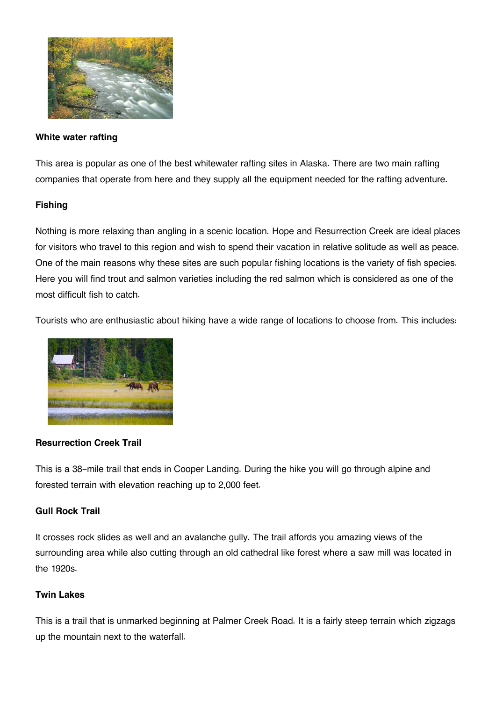

#### **White water rafting**

This area is popular as one of the best whitewater rafting sites in Alaska. There are two main rafting companies that operate from here and they supply all the equipment needed for the rafting adventure.

### **Fishing**

Nothing is more relaxing than angling in a scenic location. Hope and Resurrection Creek are ideal places for visitors who travel to this region and wish to spend their vacation in relative solitude as well as peace. One of the main reasons why these sites are such popular fishing locations is the variety of fish species. Here you will find trout and salmon varieties including the red salmon which is considered as one of the most difficult fish to catch.

Tourists who are enthusiastic about hiking have a wide range of locations to choose from. This includes:



#### **Resurrection Creek Trail**

This is a 38-mile trail that ends in Cooper Landing. During the hike you will go through alpine and forested terrain with elevation reaching up to 2,000 feet.

#### **Gull Rock Trail**

It crosses rock slides as well and an avalanche gully. The trail affords you amazing views of the surrounding area while also cutting through an old cathedral like forest where a saw mill was located in the 1920s.

#### **Twin Lakes**

This is a trail that is unmarked beginning at Palmer Creek Road. It is a fairly steep terrain which zigzags up the mountain next to the waterfall.